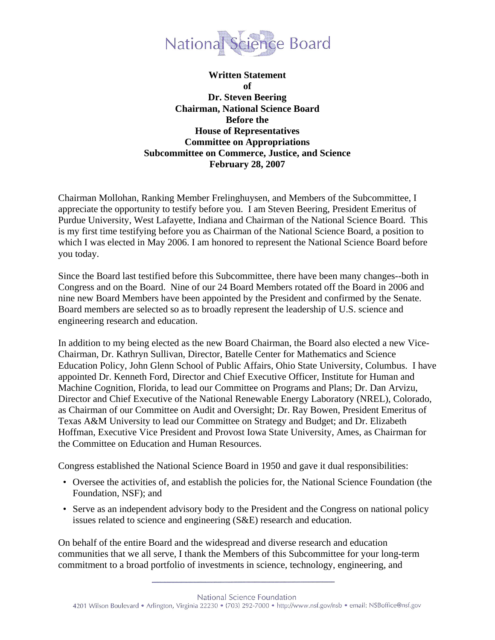

**Written Statement of Dr. Steven Beering Chairman, National Science Board Before the House of Representatives Committee on Appropriations Subcommittee on Commerce, Justice, and Science February 28, 2007** 

Chairman Mollohan, Ranking Member Frelinghuysen, and Members of the Subcommittee, I appreciate the opportunity to testify before you. I am Steven Beering, President Emeritus of Purdue University, West Lafayette, Indiana and Chairman of the National Science Board. This is my first time testifying before you as Chairman of the National Science Board, a position to which I was elected in May 2006. I am honored to represent the National Science Board before you today.

Since the Board last testified before this Subcommittee, there have been many changes--both in Congress and on the Board. Nine of our 24 Board Members rotated off the Board in 2006 and nine new Board Members have been appointed by the President and confirmed by the Senate. Board members are selected so as to broadly represent the leadership of U.S. science and engineering research and education.

In addition to my being elected as the new Board Chairman, the Board also elected a new Vice-Chairman, Dr. Kathryn Sullivan, Director, Batelle Center for Mathematics and Science Education Policy, John Glenn School of Public Affairs, Ohio State University, Columbus. I have appointed Dr. Kenneth Ford, Director and Chief Executive Officer, Institute for Human and Machine Cognition, Florida, to lead our Committee on Programs and Plans; Dr. Dan Arvizu, Director and Chief Executive of the National Renewable Energy Laboratory (NREL), Colorado, as Chairman of our Committee on Audit and Oversight; Dr. Ray Bowen, President Emeritus of Texas A&M University to lead our Committee on Strategy and Budget; and Dr. Elizabeth Hoffman, Executive Vice President and Provost Iowa State University, Ames, as Chairman for the Committee on Education and Human Resources.

Congress established the National Science Board in 1950 and gave it dual responsibilities:

- Oversee the activities of, and establish the policies for, the National Science Foundation (the Foundation, NSF); and
- Serve as an independent advisory body to the President and the Congress on national policy issues related to science and engineering (S&E) research and education.

On behalf of the entire Board and the widespread and diverse research and education communities that we all serve, I thank the Members of this Subcommittee for your long-term commitment to a broad portfolio of investments in science, technology, engineering, and

National Science Foundation 4201 Wilson Boulevard · Arlington, Virginia 22230 · (703) 292-7000 · http://www.nsf.gov/nsb · email: NSBoffice@nsf.gov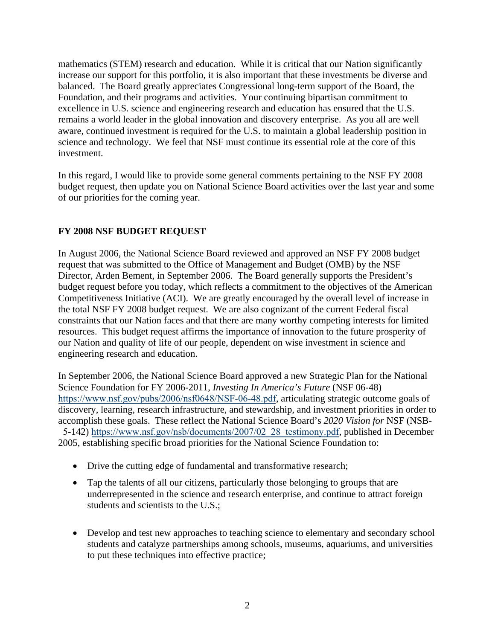mathematics (STEM) research and education. While it is critical that our Nation significantly increase our support for this portfolio, it is also important that these investments be diverse and balanced. The Board greatly appreciates Congressional long-term support of the Board, the Foundation, and their programs and activities. Your continuing bipartisan commitment to excellence in U.S. science and engineering research and education has ensured that the U.S. remains a world leader in the global innovation and discovery enterprise. As you all are well aware, continued investment is required for the U.S. to maintain a global leadership position in science and technology. We feel that NSF must continue its essential role at the core of this investment.

In this regard, I would like to provide some general comments pertaining to the NSF FY 2008 budget request, then update you on National Science Board activities over the last year and some of our priorities for the coming year.

# **FY 2008 NSF BUDGET REQUEST**

In August 2006, the National Science Board reviewed and approved an NSF FY 2008 budget request that was submitted to the Office of Management and Budget (OMB) by the NSF Director, Arden Bement, in September 2006. The Board generally supports the President's budget request before you today, which reflects a commitment to the objectives of the American Competitiveness Initiative (ACI). We are greatly encouraged by the overall level of increase in the total NSF FY 2008 budget request. We are also cognizant of the current Federal fiscal constraints that our Nation faces and that there are many worthy competing interests for limited resources. This budget request affirms the importance of innovation to the future prosperity of our Nation and quality of life of our people, dependent on wise investment in science and engineering research and education.

In September 2006, the National Science Board approved a new Strategic Plan for the National Science Foundation for FY 2006-2011, *Investing In America's Future* (NSF 06-48) <https://www.nsf.gov/pubs/2006/nsf0648/NSF-06-48.pdf>, articulating strategic outcome goals of discovery, learning, research infrastructure, and stewardship, and investment priorities in order to accomplish these goals. These reflect the National Science Board's *2020 Vision for* NSF (NSB-5-142) [https://www.nsf.gov/nsb/documents/2007/02\\_28\\_testimony.pdf](https://www.nsf.gov/nsb/documents/2007/02_28_testimony.pdf), published in December

2005, establishing specific broad priorities for the National Science Foundation to:

- Drive the cutting edge of fundamental and transformative research;
- Tap the talents of all our citizens, particularly those belonging to groups that are underrepresented in the science and research enterprise, and continue to attract foreign students and scientists to the U.S.;
- Develop and test new approaches to teaching science to elementary and secondary school students and catalyze partnerships among schools, museums, aquariums, and universities to put these techniques into effective practice;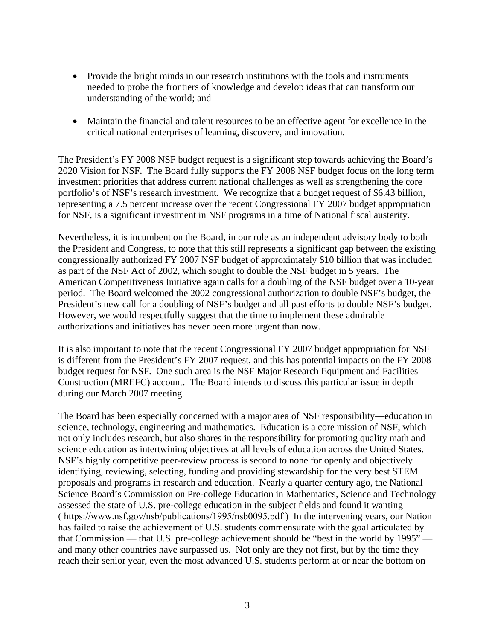- Provide the bright minds in our research institutions with the tools and instruments needed to probe the frontiers of knowledge and develop ideas that can transform our understanding of the world; and
- Maintain the financial and talent resources to be an effective agent for excellence in the critical national enterprises of learning, discovery, and innovation.

The President's FY 2008 NSF budget request is a significant step towards achieving the Board's 2020 Vision for NSF. The Board fully supports the FY 2008 NSF budget focus on the long term investment priorities that address current national challenges as well as strengthening the core portfolio's of NSF's research investment. We recognize that a budget request of \$6.43 billion, representing a 7.5 percent increase over the recent Congressional FY 2007 budget appropriation for NSF, is a significant investment in NSF programs in a time of National fiscal austerity.

Nevertheless, it is incumbent on the Board, in our role as an independent advisory body to both the President and Congress, to note that this still represents a significant gap between the existing congressionally authorized FY 2007 NSF budget of approximately \$10 billion that was included as part of the NSF Act of 2002, which sought to double the NSF budget in 5 years. The American Competitiveness Initiative again calls for a doubling of the NSF budget over a 10-year period. The Board welcomed the 2002 congressional authorization to double NSF's budget, the President's new call for a doubling of NSF's budget and all past efforts to double NSF's budget. However, we would respectfully suggest that the time to implement these admirable authorizations and initiatives has never been more urgent than now.

It is also important to note that the recent Congressional FY 2007 budget appropriation for NSF is different from the President's FY 2007 request, and this has potential impacts on the FY 2008 budget request for NSF. One such area is the NSF Major Research Equipment and Facilities Construction (MREFC) account. The Board intends to discuss this particular issue in depth during our March 2007 meeting.

The Board has been especially concerned with a major area of NSF responsibility—education in science, technology, engineering and mathematics. Education is a core mission of NSF, which not only includes research, but also shares in the responsibility for promoting quality math and science education as intertwining objectives at all levels of education across the United States. NSF's highly competitive peer-review process is second to none for openly and objectively identifying, reviewing, selecting, funding and providing stewardship for the very best STEM proposals and programs in research and education. Nearly a quarter century ago, the National Science Board's Commission on Pre-college Education in Mathematics, Science and Technology assessed the state of U.S. pre-college education in the subject fields and found it wanting ( <https://www.nsf.gov/nsb/publications/1995/nsb0095.pdf> ) In the intervening years, our Nation has failed to raise the achievement of U.S. students commensurate with the goal articulated by that Commission — that U.S. pre-college achievement should be "best in the world by 1995" and many other countries have surpassed us. Not only are they not first, but by the time they reach their senior year, even the most advanced U.S. students perform at or near the bottom on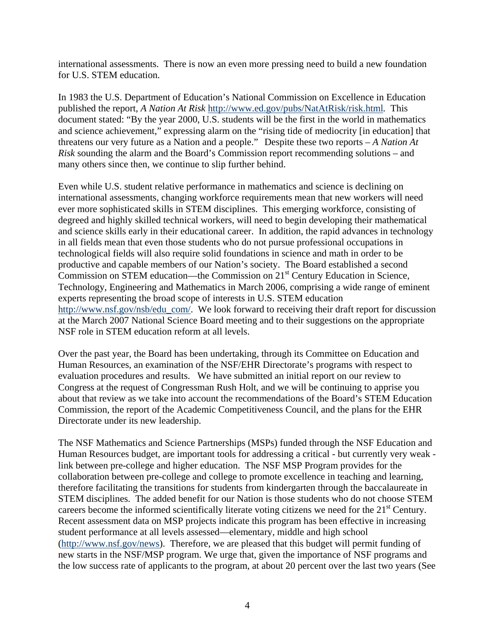international assessments. There is now an even more pressing need to build a new foundation for U.S. STEM education.

In 1983 the U.S. Department of Education's National Commission on Excellence in Education published the report, *A Nation At Risk* http://www.ed.gov/pubs/NatAtRisk/risk.html*.* This document stated: "By the year 2000, U.S. students will be the first in the world in mathematics and science achievement," expressing alarm on the "rising tide of mediocrity [in education] that threatens our very future as a Nation and a people." Despite these two reports – *A Nation At Risk* sounding the alarm and the Board's Commission report recommending solutions – and many others since then, we continue to slip further behind.

Even while U.S. student relative performance in mathematics and science is declining on international assessments, changing workforce requirements mean that new workers will need ever more sophisticated skills in STEM disciplines. This emerging workforce, consisting of degreed and highly skilled technical workers, will need to begin developing their mathematical and science skills early in their educational career. In addition, the rapid advances in technology in all fields mean that even those students who do not pursue professional occupations in technological fields will also require solid foundations in science and math in order to be productive and capable members of our Nation's society. The Board established a second Commission on STEM education—the Commission on  $21<sup>st</sup>$  Century Education in Science, Technology, Engineering and Mathematics in March 2006, comprising a wide range of eminent experts representing the broad scope of interests in U.S. STEM education http://www.nsf.gov/nsb/edu\_com/. We look forward to receiving their draft report for discussion at the March 2007 National Science Board meeting and to their suggestions on the appropriate NSF role in STEM education reform at all levels.

Over the past year, the Board has been undertaking, through its Committee on Education and Human Resources, an examination of the NSF/EHR Directorate's programs with respect to evaluation procedures and results. We have submitted an initial report on our review to Congress at the request of Congressman Rush Holt, and we will be continuing to apprise you about that review as we take into account the recommendations of the Board's STEM Education Commission, the report of the Academic Competitiveness Council, and the plans for the EHR Directorate under its new leadership.

The NSF Mathematics and Science Partnerships (MSPs) funded through the NSF Education and Human Resources budget, are important tools for addressing a critical - but currently very weak link between pre-college and higher education. The NSF MSP Program provides for the collaboration between pre-college and college to promote excellence in teaching and learning, therefore facilitating the transitions for students from kindergarten through the baccalaureate in STEM disciplines. The added benefit for our Nation is those students who do not choose STEM careers become the informed scientifically literate voting citizens we need for the 21<sup>st</sup> Century. Recent assessment data on MSP projects indicate this program has been effective in increasing student performance at all levels assessed—elementary, middle and high school (http://www.nsf.gov/news). Therefore, we are pleased that this budget will permit funding of new starts in the NSF/MSP program. We urge that, given the importance of NSF programs and the low success rate of applicants to the program, at about 20 percent over the last two years (See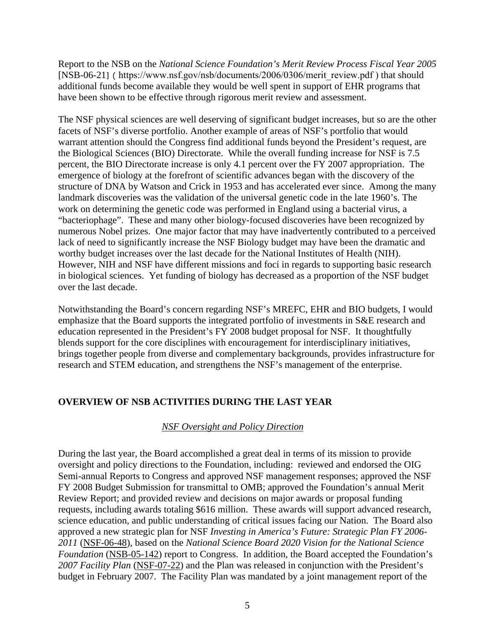Report to the NSB on the *National Science Foundation's Merit Review Process Fiscal Year 2005*  [NSB-06-21] ( [https://www.nsf.gov/nsb/documents/2006/0306/merit\\_review.pdf](https://www.nsf.gov/nsb/documents/2006/0306/merit_review.pdf) ) that should additional funds become available they would be well spent in support of EHR programs that have been shown to be effective through rigorous merit review and assessment.

The NSF physical sciences are well deserving of significant budget increases, but so are the other facets of NSF's diverse portfolio. Another example of areas of NSF's portfolio that would warrant attention should the Congress find additional funds beyond the President's request, are the Biological Sciences (BIO) Directorate. While the overall funding increase for NSF is 7.5 percent, the BIO Directorate increase is only 4.1 percent over the FY 2007 appropriation. The emergence of biology at the forefront of scientific advances began with the discovery of the structure of DNA by Watson and Crick in 1953 and has accelerated ever since. Among the many landmark discoveries was the validation of the universal genetic code in the late 1960's. The work on determining the genetic code was performed in England using a bacterial virus, a "bacteriophage". These and many other biology-focused discoveries have been recognized by numerous Nobel prizes. One major factor that may have inadvertently contributed to a perceived lack of need to significantly increase the NSF Biology budget may have been the dramatic and worthy budget increases over the last decade for the National Institutes of Health (NIH). However, NIH and NSF have different missions and foci in regards to supporting basic research in biological sciences. Yet funding of biology has decreased as a proportion of the NSF budget over the last decade.

Notwithstanding the Board's concern regarding NSF's MREFC, EHR and BIO budgets, I would emphasize that the Board supports the integrated portfolio of investments in S&E research and education represented in the President's FY 2008 budget proposal for NSF. It thoughtfully blends support for the core disciplines with encouragement for interdisciplinary initiatives, brings together people from diverse and complementary backgrounds, provides infrastructure for research and STEM education, and strengthens the NSF's management of the enterprise.

## **OVERVIEW OF NSB ACTIVITIES DURING THE LAST YEAR**

## *NSF Oversight and Policy Direction*

During the last year, the Board accomplished a great deal in terms of its mission to provide oversight and policy directions to the Foundation, including: reviewed and endorsed the OIG Semi-annual Reports to Congress and approved NSF management responses; approved the NSF FY 2008 Budget Submission for transmittal to OMB; approved the Foundation's annual Merit Review Report; and provided review and decisions on major awards or proposal funding requests, including awards totaling \$616 million. These awards will support advanced research, science education, and public understanding of critical issues facing our Nation. The Board also approved a new strategic plan for NSF *Investing in America's Future: Strategic Plan FY 2006- 2011* (NSF-06-48), based on the *National Science Board 2020 Vision for the National Science Foundation* (NSB-05-142) report to Congress. In addition, the Board accepted the Foundation's *2007 Facility Plan* (NSF-07-22) and the Plan was released in conjunction with the President's budget in February 2007. The Facility Plan was mandated by a joint management report of the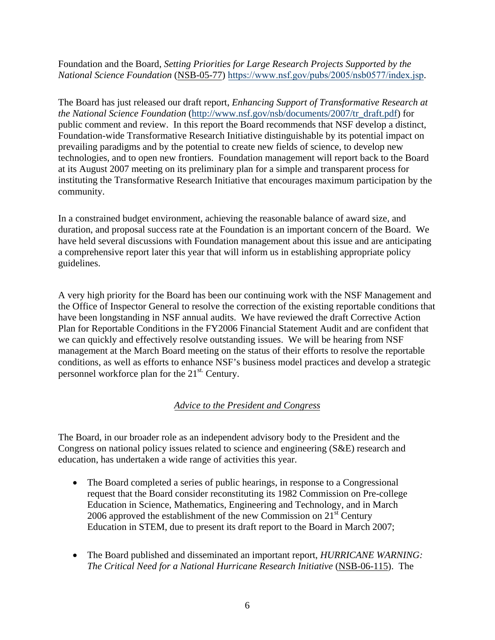Foundation and the Board, *Setting Priorities for Large Research Projects Supported by the National Science Foundation* (NSB-05-77) <https://www.nsf.gov/pubs/2005/nsb0577/index.jsp>.

The Board has just released our draft report, *Enhancing Support of Transformative Research at the National Science Foundation* (http://www.nsf.gov/nsb/documents/2007/tr\_draft.pdf) for public comment and review. In this report the Board recommends that NSF develop a distinct, Foundation-wide Transformative Research Initiative distinguishable by its potential impact on prevailing paradigms and by the potential to create new fields of science, to develop new technologies, and to open new frontiers. Foundation management will report back to the Board at its August 2007 meeting on its preliminary plan for a simple and transparent process for instituting the Transformative Research Initiative that encourages maximum participation by the community.

In a constrained budget environment, achieving the reasonable balance of award size, and duration, and proposal success rate at the Foundation is an important concern of the Board. We have held several discussions with Foundation management about this issue and are anticipating a comprehensive report later this year that will inform us in establishing appropriate policy guidelines.

A very high priority for the Board has been our continuing work with the NSF Management and the Office of Inspector General to resolve the correction of the existing reportable conditions that have been longstanding in NSF annual audits. We have reviewed the draft Corrective Action Plan for Reportable Conditions in the FY2006 Financial Statement Audit and are confident that we can quickly and effectively resolve outstanding issues. We will be hearing from NSF management at the March Board meeting on the status of their efforts to resolve the reportable conditions, as well as efforts to enhance NSF's business model practices and develop a strategic personnel workforce plan for the 21st. Century.

# *Advice to the President and Congress*

The Board, in our broader role as an independent advisory body to the President and the Congress on national policy issues related to science and engineering (S&E) research and education, has undertaken a wide range of activities this year.

- The Board completed a series of public hearings, in response to a Congressional request that the Board consider reconstituting its 1982 Commission on Pre-college Education in Science, Mathematics, Engineering and Technology, and in March 2006 approved the establishment of the new Commission on  $21<sup>st</sup>$  Century Education in STEM, due to present its draft report to the Board in March 2007;
- The Board published and disseminated an important report, *HURRICANE WARNING: The Critical Need for a National Hurricane Research Initiative* (NSB-06-115). The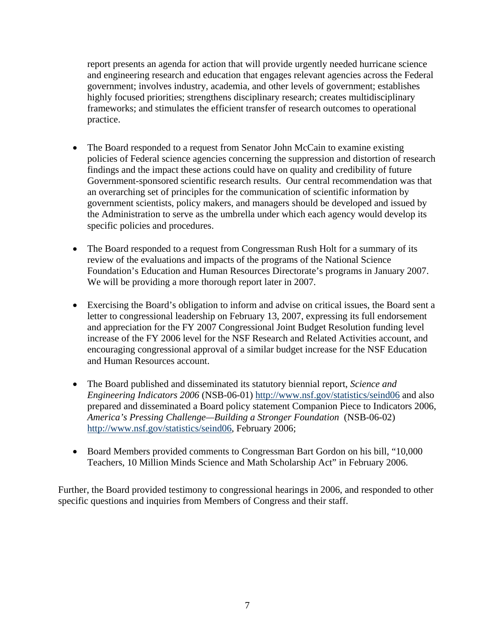report presents an agenda for action that will provide urgently needed hurricane science and engineering research and education that engages relevant agencies across the Federal government; involves industry, academia, and other levels of government; establishes highly focused priorities; strengthens disciplinary research; creates multidisciplinary frameworks; and stimulates the efficient transfer of research outcomes to operational practice.

- The Board responded to a request from Senator John McCain to examine existing policies of Federal science agencies concerning the suppression and distortion of research findings and the impact these actions could have on quality and credibility of future Government-sponsored scientific research results. Our central recommendation was that an overarching set of principles for the communication of scientific information by government scientists, policy makers, and managers should be developed and issued by the Administration to serve as the umbrella under which each agency would develop its specific policies and procedures.
- The Board responded to a request from Congressman Rush Holt for a summary of its review of the evaluations and impacts of the programs of the National Science Foundation's Education and Human Resources Directorate's programs in January 2007. We will be providing a more thorough report later in 2007.
- Exercising the Board's obligation to inform and advise on critical issues, the Board sent a letter to congressional leadership on February 13, 2007, expressing its full endorsement and appreciation for the FY 2007 Congressional Joint Budget Resolution funding level increase of the FY 2006 level for the NSF Research and Related Activities account, and encouraging congressional approval of a similar budget increase for the NSF Education and Human Resources account.
- The Board published and disseminated its statutory biennial report, *Science and Engineering Indicators 2006* (NSB-06-01) http://www.nsf.gov/statistics/seind06 and also prepared and disseminated a Board policy statement Companion Piece to Indicators 2006, *America's Pressing Challenge—Building a Stronger Foundation* (NSB-06-02) http://www.nsf.gov/statistics/seind06, February 2006;
- Board Members provided comments to Congressman Bart Gordon on his bill, "10,000 Teachers, 10 Million Minds Science and Math Scholarship Act" in February 2006.

Further, the Board provided testimony to congressional hearings in 2006, and responded to other specific questions and inquiries from Members of Congress and their staff.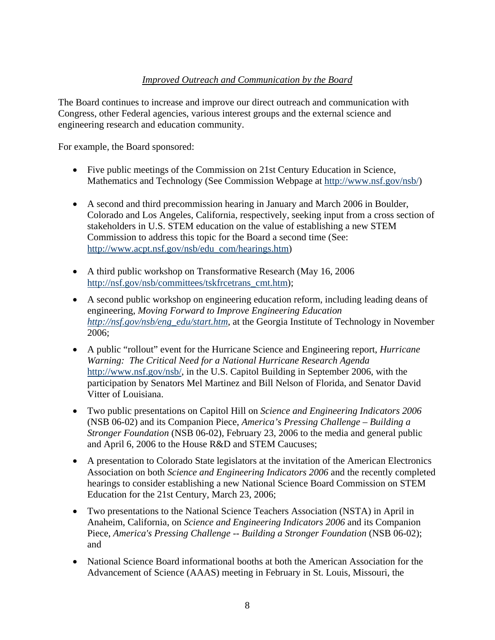# *Improved Outreach and Communication by the Board*

The Board continues to increase and improve our direct outreach and communication with Congress, other Federal agencies, various interest groups and the external science and engineering research and education community.

For example, the Board sponsored:

- Five public meetings of the Commission on 21st Century Education in Science, Mathematics and Technology (See Commission Webpage at http://www.nsf.gov/nsb/)
- A second and third precommission hearing in January and March 2006 in Boulder, Colorado and Los Angeles, California, respectively, seeking input from a cross section of stakeholders in U.S. STEM education on the value of establishing a new STEM Commission to address this topic for the Board a second time (See: http://www.acpt.nsf.gov/nsb/edu\_com/hearings.htm)
- A third public workshop on Transformative Research (May 16, 2006) http://nsf.gov/nsb/committees/tskfrcetrans\_cmt.htm);
- A second public workshop on engineering education reform, including leading deans of engineering, *Moving Forward to Improve Engineering Education http://nsf.gov/nsb/eng\_edu/start.htm*, at the Georgia Institute of Technology in November 2006;
- A public "rollout" event for the Hurricane Science and Engineering report, *Hurricane Warning: The Critical Need for a National Hurricane Research Agenda*  http://www.nsf.gov/nsb/, in the U.S. Capitol Building in September 2006, with the participation by Senators Mel Martinez and Bill Nelson of Florida, and Senator David Vitter of Louisiana.
- Two public presentations on Capitol Hill on *Science and Engineering Indicators 2006*  (NSB 06-02) and its Companion Piece, *America's Pressing Challenge – Building a Stronger Foundation* (NSB 06-02), February 23, 2006 to the media and general public and April 6, 2006 to the House R&D and STEM Caucuses;
- A presentation to Colorado State legislators at the invitation of the American Electronics Association on both *Science and Engineering Indicators 2006* and the recently completed hearings to consider establishing a new National Science Board Commission on STEM Education for the 21st Century, March 23, 2006;
- Two presentations to the National Science Teachers Association (NSTA) in April in Anaheim, California, on *Science and Engineering Indicators 2006* and its Companion Piece, *America's Pressing Challenge -- Building a Stronger Foundation* (NSB 06-02); and
- National Science Board informational booths at both the American Association for the Advancement of Science (AAAS) meeting in February in St. Louis, Missouri, the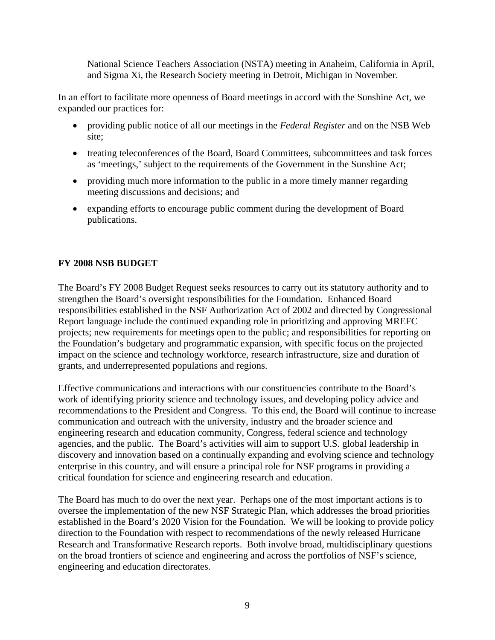National Science Teachers Association (NSTA) meeting in Anaheim, California in April, and Sigma Xi, the Research Society meeting in Detroit, Michigan in November.

In an effort to facilitate more openness of Board meetings in accord with the Sunshine Act, we expanded our practices for:

- providing public notice of all our meetings in the *Federal Register* and on the NSB Web site;
- treating teleconferences of the Board, Board Committees, subcommittees and task forces as 'meetings,' subject to the requirements of the Government in the Sunshine Act;
- providing much more information to the public in a more timely manner regarding meeting discussions and decisions; and
- expanding efforts to encourage public comment during the development of Board publications.

## **FY 2008 NSB BUDGET**

The Board's FY 2008 Budget Request seeks resources to carry out its statutory authority and to strengthen the Board's oversight responsibilities for the Foundation. Enhanced Board responsibilities established in the NSF Authorization Act of 2002 and directed by Congressional Report language include the continued expanding role in prioritizing and approving MREFC projects; new requirements for meetings open to the public; and responsibilities for reporting on the Foundation's budgetary and programmatic expansion, with specific focus on the projected impact on the science and technology workforce, research infrastructure, size and duration of grants, and underrepresented populations and regions.

Effective communications and interactions with our constituencies contribute to the Board's work of identifying priority science and technology issues, and developing policy advice and recommendations to the President and Congress. To this end, the Board will continue to increase communication and outreach with the university, industry and the broader science and engineering research and education community, Congress, federal science and technology agencies, and the public. The Board's activities will aim to support U.S. global leadership in discovery and innovation based on a continually expanding and evolving science and technology enterprise in this country, and will ensure a principal role for NSF programs in providing a critical foundation for science and engineering research and education.

The Board has much to do over the next year. Perhaps one of the most important actions is to oversee the implementation of the new NSF Strategic Plan, which addresses the broad priorities established in the Board's 2020 Vision for the Foundation. We will be looking to provide policy direction to the Foundation with respect to recommendations of the newly released Hurricane Research and Transformative Research reports. Both involve broad, multidisciplinary questions on the broad frontiers of science and engineering and across the portfolios of NSF's science, engineering and education directorates.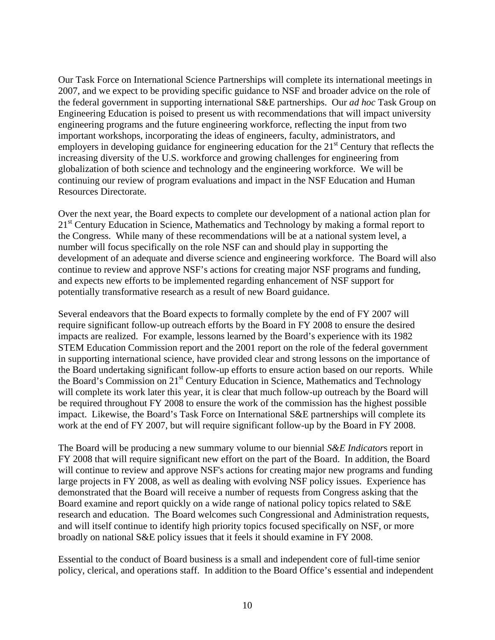Our Task Force on International Science Partnerships will complete its international meetings in 2007, and we expect to be providing specific guidance to NSF and broader advice on the role of the federal government in supporting international S&E partnerships. Our *ad hoc* Task Group on Engineering Education is poised to present us with recommendations that will impact university engineering programs and the future engineering workforce, reflecting the input from two important workshops, incorporating the ideas of engineers, faculty, administrators, and employers in developing guidance for engineering education for the  $21<sup>st</sup>$  Century that reflects the increasing diversity of the U.S. workforce and growing challenges for engineering from globalization of both science and technology and the engineering workforce. We will be continuing our review of program evaluations and impact in the NSF Education and Human Resources Directorate.

Over the next year, the Board expects to complete our development of a national action plan for 21<sup>st</sup> Century Education in Science, Mathematics and Technology by making a formal report to the Congress. While many of these recommendations will be at a national system level, a number will focus specifically on the role NSF can and should play in supporting the development of an adequate and diverse science and engineering workforce. The Board will also continue to review and approve NSF's actions for creating major NSF programs and funding, and expects new efforts to be implemented regarding enhancement of NSF support for potentially transformative research as a result of new Board guidance.

Several endeavors that the Board expects to formally complete by the end of FY 2007 will require significant follow-up outreach efforts by the Board in FY 2008 to ensure the desired impacts are realized. For example, lessons learned by the Board's experience with its 1982 STEM Education Commission report and the 2001 report on the role of the federal government in supporting international science, have provided clear and strong lessons on the importance of the Board undertaking significant follow-up efforts to ensure action based on our reports. While the Board's Commission on 21<sup>st</sup> Century Education in Science, Mathematics and Technology will complete its work later this year, it is clear that much follow-up outreach by the Board will be required throughout FY 2008 to ensure the work of the commission has the highest possible impact. Likewise, the Board's Task Force on International S&E partnerships will complete its work at the end of FY 2007, but will require significant follow-up by the Board in FY 2008.

The Board will be producing a new summary volume to our biennial *S&E Indicator*s report in FY 2008 that will require significant new effort on the part of the Board. In addition, the Board will continue to review and approve NSF's actions for creating major new programs and funding large projects in FY 2008, as well as dealing with evolving NSF policy issues. Experience has demonstrated that the Board will receive a number of requests from Congress asking that the Board examine and report quickly on a wide range of national policy topics related to S&E research and education. The Board welcomes such Congressional and Administration requests, and will itself continue to identify high priority topics focused specifically on NSF, or more broadly on national S&E policy issues that it feels it should examine in FY 2008.

Essential to the conduct of Board business is a small and independent core of full-time senior policy, clerical, and operations staff. In addition to the Board Office's essential and independent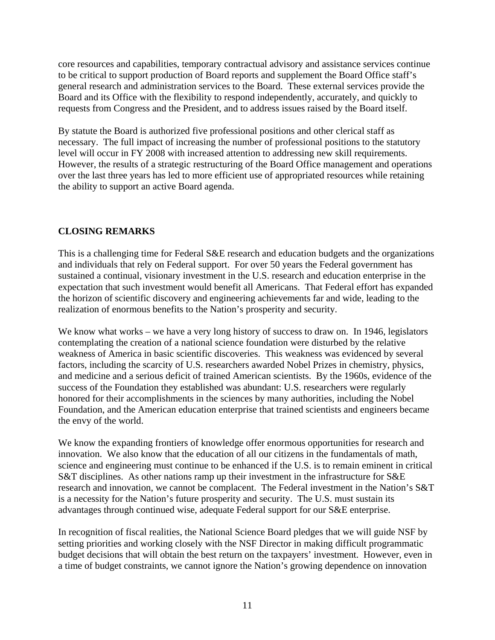core resources and capabilities, temporary contractual advisory and assistance services continue to be critical to support production of Board reports and supplement the Board Office staff's general research and administration services to the Board. These external services provide the Board and its Office with the flexibility to respond independently, accurately, and quickly to requests from Congress and the President, and to address issues raised by the Board itself.

By statute the Board is authorized five professional positions and other clerical staff as necessary. The full impact of increasing the number of professional positions to the statutory level will occur in FY 2008 with increased attention to addressing new skill requirements. However, the results of a strategic restructuring of the Board Office management and operations over the last three years has led to more efficient use of appropriated resources while retaining the ability to support an active Board agenda.

## **CLOSING REMARKS**

This is a challenging time for Federal S&E research and education budgets and the organizations and individuals that rely on Federal support. For over 50 years the Federal government has sustained a continual, visionary investment in the U.S. research and education enterprise in the expectation that such investment would benefit all Americans. That Federal effort has expanded the horizon of scientific discovery and engineering achievements far and wide, leading to the realization of enormous benefits to the Nation's prosperity and security.

We know what works – we have a very long history of success to draw on. In 1946, legislators contemplating the creation of a national science foundation were disturbed by the relative weakness of America in basic scientific discoveries. This weakness was evidenced by several factors, including the scarcity of U.S. researchers awarded Nobel Prizes in chemistry, physics, and medicine and a serious deficit of trained American scientists. By the 1960s, evidence of the success of the Foundation they established was abundant: U.S. researchers were regularly honored for their accomplishments in the sciences by many authorities, including the Nobel Foundation, and the American education enterprise that trained scientists and engineers became the envy of the world.

We know the expanding frontiers of knowledge offer enormous opportunities for research and innovation. We also know that the education of all our citizens in the fundamentals of math, science and engineering must continue to be enhanced if the U.S. is to remain eminent in critical S&T disciplines. As other nations ramp up their investment in the infrastructure for S&E research and innovation, we cannot be complacent. The Federal investment in the Nation's S&T is a necessity for the Nation's future prosperity and security. The U.S. must sustain its advantages through continued wise, adequate Federal support for our S&E enterprise.

In recognition of fiscal realities, the National Science Board pledges that we will guide NSF by setting priorities and working closely with the NSF Director in making difficult programmatic budget decisions that will obtain the best return on the taxpayers' investment. However, even in a time of budget constraints, we cannot ignore the Nation's growing dependence on innovation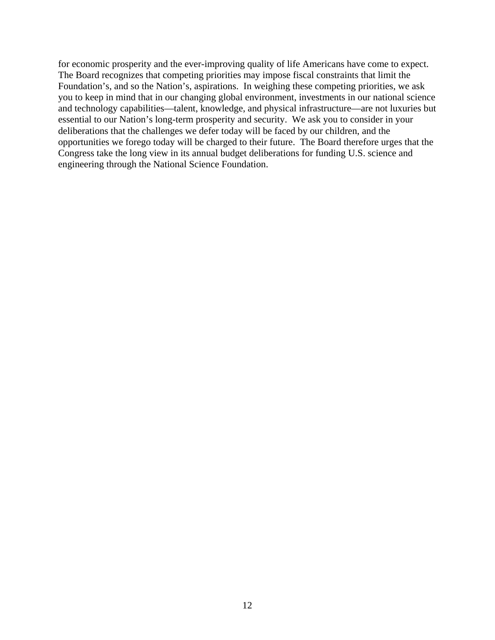for economic prosperity and the ever-improving quality of life Americans have come to expect. The Board recognizes that competing priorities may impose fiscal constraints that limit the Foundation's, and so the Nation's, aspirations. In weighing these competing priorities, we ask you to keep in mind that in our changing global environment, investments in our national science and technology capabilities—talent, knowledge, and physical infrastructure—are not luxuries but essential to our Nation's long-term prosperity and security. We ask you to consider in your deliberations that the challenges we defer today will be faced by our children, and the opportunities we forego today will be charged to their future. The Board therefore urges that the Congress take the long view in its annual budget deliberations for funding U.S. science and engineering through the National Science Foundation.